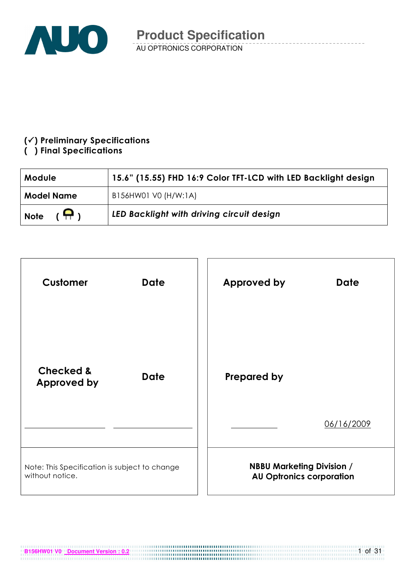

### $(\checkmark)$  Preliminary Specifications

### () Final Specifications

| Module                       | 15.6" (15.55) FHD 16:9 Color TFT-LCD with LED Backlight design |  |  |
|------------------------------|----------------------------------------------------------------|--|--|
| <b>Model Name</b>            | B156HW01 V0 (H/W:1A)                                           |  |  |
| $(\bigoplus)$<br><b>Note</b> | LED Backlight with driving circuit design                      |  |  |

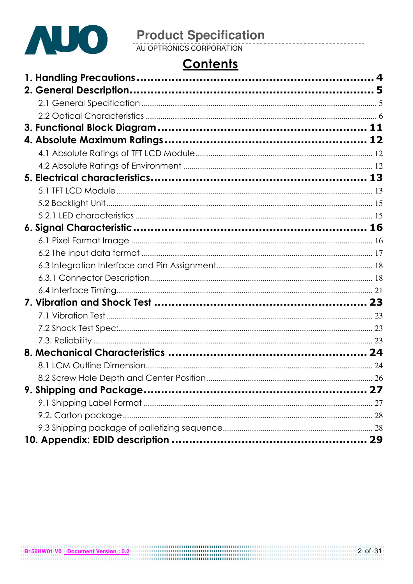

# **Product Specification**<br>AU OPTRONICS CORPORATION

# **Contents**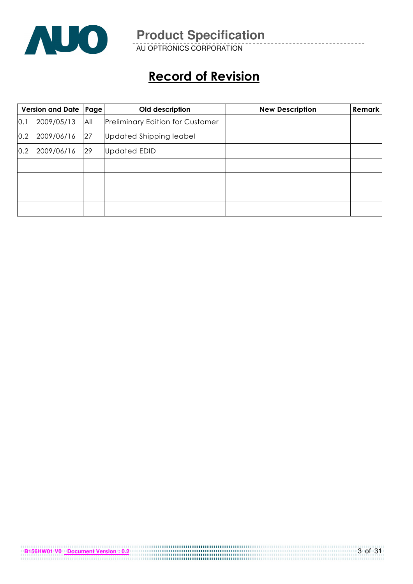

AU OPTRONICS CORPORATION

# Record of Revision

|     | Version and Date   Page |     | Old description                         | <b>New Description</b> | <b>Remark</b> |
|-----|-------------------------|-----|-----------------------------------------|------------------------|---------------|
| 0.1 | 2009/05/13              | All | <b>Preliminary Edition for Customer</b> |                        |               |
| 0.2 | 2009/06/16              | 27  | Updated Shipping leabel                 |                        |               |
| 0.2 | 2009/06/16              | 29  | <b>Updated EDID</b>                     |                        |               |
|     |                         |     |                                         |                        |               |
|     |                         |     |                                         |                        |               |
|     |                         |     |                                         |                        |               |
|     |                         |     |                                         |                        |               |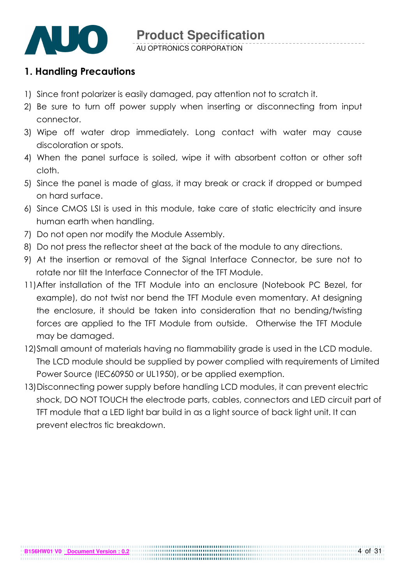

### 1. Handling Precautions

- 1) Since front polarizer is easily damaged, pay attention not to scratch it.
- 2) Be sure to turn off power supply when inserting or disconnecting from input connector.
- 3) Wipe off water drop immediately. Long contact with water may cause discoloration or spots.
- 4) When the panel surface is soiled, wipe it with absorbent cotton or other soft cloth.
- 5) Since the panel is made of glass, it may break or crack if dropped or bumped on hard surface.
- 6) Since CMOS LSI is used in this module, take care of static electricity and insure human earth when handling.
- 7) Do not open nor modify the Module Assembly.
- 8) Do not press the reflector sheet at the back of the module to any directions.
- 9) At the insertion or removal of the Signal Interface Connector, be sure not to rotate nor tilt the Interface Connector of the TFT Module.
- 11) After installation of the TFT Module into an enclosure (Notebook PC Bezel, for example), do not twist nor bend the TFT Module even momentary. At designing the enclosure, it should be taken into consideration that no bending/twisting forces are applied to the TFT Module from outside. Otherwise the TFT Module may be damaged.
- 12)Small amount of materials having no flammability grade is used in the LCD module. The LCD module should be supplied by power complied with requirements of Limited Power Source (IEC60950 or UL1950), or be applied exemption.
- 13)Disconnecting power supply before handling LCD modules, it can prevent electric shock, DO NOT TOUCH the electrode parts, cables, connectors and LED circuit part of TFT module that a LED light bar build in as a light source of back light unit. It can prevent electros tic breakdown.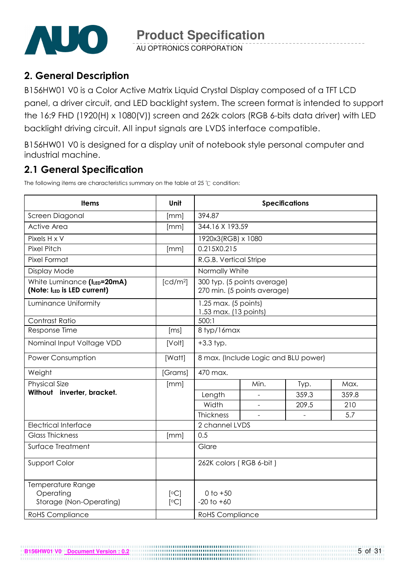

AU OPTRONICS CORPORATION

# 2. General Description

B156HW01 V0 is a Color Active Matrix Liquid Crystal Display composed of a TFT LCD panel, a driver circuit, and LED backlight system. The screen format is intended to support the 16:9 FHD (1920(H) x 1080(V)) screen and 262k colors (RGB 6-bits data driver) with LED backlight driving circuit. All input signals are LVDS interface compatible.

B156HW01 V0 is designed for a display unit of notebook style personal computer and industrial machine.

# 2.1 General Specification

**B156HW01 V0 Document Version : 0.2**

The following items are characteristics summary on the table at 25  $\degree$ C condition:

| <b>Items</b>                                               | Unit                 | <b>Specifications</b>                           |                                                            |       |       |  |  |
|------------------------------------------------------------|----------------------|-------------------------------------------------|------------------------------------------------------------|-------|-------|--|--|
| Screen Diagonal                                            | [mm]                 | 394.87                                          |                                                            |       |       |  |  |
| <b>Active Area</b>                                         | [mm]                 | 344.16 X 193.59                                 |                                                            |       |       |  |  |
| Pixels H x V                                               |                      | 1920x3(RGB) x 1080                              |                                                            |       |       |  |  |
| <b>Pixel Pitch</b>                                         | [mm]                 | 0.215X0.215                                     |                                                            |       |       |  |  |
| Pixel Format                                               |                      | R.G.B. Vertical Stripe                          |                                                            |       |       |  |  |
| Display Mode                                               |                      | Normally White                                  |                                                            |       |       |  |  |
| White Luminance (ILED=20mA)<br>(Note: ILED is LED current) | [cd/m <sup>2</sup> ] |                                                 | 300 typ. (5 points average)<br>270 min. (5 points average) |       |       |  |  |
| Luminance Uniformity                                       |                      | $1.25$ max. (5 points)<br>1.53 max. (13 points) |                                                            |       |       |  |  |
| Contrast Ratio                                             |                      | 500:1                                           |                                                            |       |       |  |  |
| Response Time                                              | [ms]                 | 8 typ/16max                                     |                                                            |       |       |  |  |
| Nominal Input Voltage VDD                                  | [Volt]               | $+3.3$ typ.                                     |                                                            |       |       |  |  |
| Power Consumption                                          | [Watt]               | 8 max. (Include Logic and BLU power)            |                                                            |       |       |  |  |
| Weight                                                     | [Grams]              | 470 max.                                        |                                                            |       |       |  |  |
| <b>Physical Size</b>                                       | [mm]                 |                                                 | Min.                                                       | Typ.  | Max.  |  |  |
| Without inverter, bracket.                                 |                      | Length                                          |                                                            | 359.3 | 359.8 |  |  |
|                                                            |                      | Width                                           |                                                            | 209.5 | 210   |  |  |
|                                                            |                      | Thickness                                       |                                                            |       | 5.7   |  |  |
| <b>Electrical Interface</b>                                |                      | 2 channel LVDS                                  |                                                            |       |       |  |  |
| <b>Glass Thickness</b>                                     | [mm]                 | 0.5                                             |                                                            |       |       |  |  |
| Surface Treatment                                          |                      | Glare                                           |                                                            |       |       |  |  |
| Support Color                                              |                      | 262K colors (RGB 6-bit)                         |                                                            |       |       |  |  |
| Temperature Range<br>Operating<br>Storage (Non-Operating)  | [°C]<br>[°C]         | $0$ to $+50$<br>$-20$ to $+60$                  |                                                            |       |       |  |  |
| <b>RoHS Compliance</b>                                     |                      | <b>RoHS Compliance</b>                          |                                                            |       |       |  |  |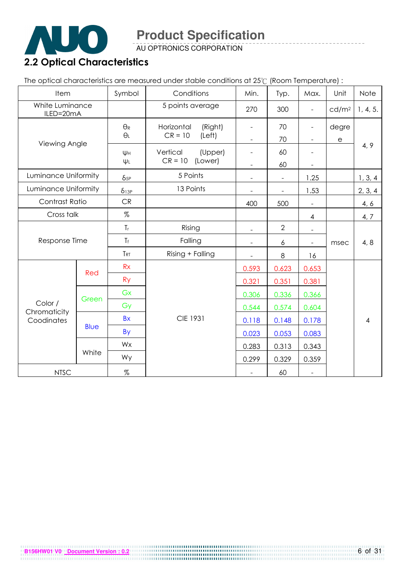

AU OPTRONICS CORPORATION

# 2.2 Optical Characteristics

The optical characteristics are measured under stable conditions at 25°C (Room Temperature) :

| Item                         |             | Symbol                | Conditions            | Min.                     | Typ.                     | Max.                     | Unit                  | Note           |
|------------------------------|-------------|-----------------------|-----------------------|--------------------------|--------------------------|--------------------------|-----------------------|----------------|
| White Luminance<br>ILED=20mA |             |                       | 5 points average      | 270                      | 300                      | $\frac{1}{2}$            | cd/m <sup>2</sup>     | 1, 4, 5.       |
|                              |             | $\Theta_{\mathsf{R}}$ | Horizontal<br>(Right) |                          | 70                       | -                        | degre                 |                |
| Viewing Angle                |             | $\theta_L$            | $CR = 10$<br>(Left)   | $\blacksquare$           | 70                       | $\overline{\phantom{a}}$ | $\mathop{\mathrm{e}}$ |                |
|                              |             | Ψн                    | Vertical<br>(Upper)   |                          | 60                       |                          |                       | 4, 9           |
|                              |             | $\Psi L$              | $CR = 10$<br>(Lower)  |                          | 60                       |                          |                       |                |
| Luminance Uniformity         |             | $\delta_{5P}$         | 5 Points              | $\blacksquare$           | $\overline{\phantom{a}}$ | 1.25                     |                       | 1, 3, 4        |
| Luminance Uniformity         |             | $\delta$ 13P          | 13 Points             |                          |                          | 1.53                     |                       | 2, 3, 4        |
| Contrast Ratio               |             | CR                    |                       | 400                      | 500                      |                          |                       | 4, 6           |
| Cross talk                   |             | %                     |                       |                          |                          | $\overline{4}$           |                       | 4, 7           |
|                              |             | $T_{r}$               | Rising                |                          | $\overline{2}$           |                          |                       |                |
| Response Time                |             | $T_f$                 | Falling               |                          | 6                        |                          | msec                  | 4, 8           |
|                              |             | T <sub>RT</sub>       | Rising + Falling      | $\overline{\phantom{a}}$ | $\,8\,$                  | 16                       |                       |                |
|                              |             | Rx                    |                       | 0.593                    | 0.623                    | 0.653                    |                       |                |
|                              | Red         | <b>Ry</b>             |                       | 0.321                    | 0.351                    | 0.381                    |                       |                |
|                              |             | Gx                    |                       | 0.306                    | 0.336                    | 0.366                    |                       |                |
| Color /                      | Green       | Gy                    |                       | 0.544                    | 0.574                    | 0.604                    |                       |                |
| Chromaticity<br>Coodinates   |             | <b>Bx</b>             | <b>CIE 1931</b>       | 0.118                    | 0.148                    | 0.178                    |                       | $\overline{4}$ |
|                              | <b>Blue</b> | <b>By</b>             |                       | 0.023                    | 0.053                    | 0.083                    |                       |                |
|                              |             | Wx                    |                       | 0.283                    | 0.313                    | 0.343                    |                       |                |
|                              | White       | Wy                    |                       | 0.299                    | 0.329                    | 0.359                    |                       |                |
| <b>NTSC</b>                  |             | $\%$                  |                       |                          | 60                       | $\overline{\phantom{a}}$ |                       |                |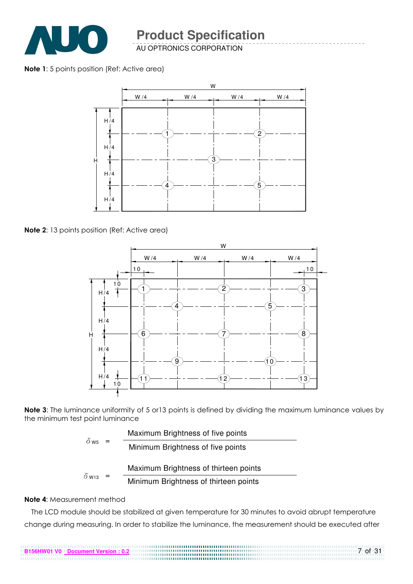

AU OPTRONICS CORPORATION

#### Note 1: 5 points position (Ref: Active area)



Note 2: 13 points position (Ref: Active area)



Note 3: The luminance uniformity of 5 or 13 points is defined by dividing the maximum luminance values by the minimum test point luminance

|                          |     | Maximum Brightness of five points     |
|--------------------------|-----|---------------------------------------|
| $\delta$ w <sub>5</sub>  | $=$ | Minimum Brightness of five points     |
|                          |     | Maximum Brightness of thirteen points |
| $\delta$ W <sub>13</sub> | $=$ | Minimum Brightness of thirteen points |

#### Note 4: Measurement method

The LCD module should be stabilized at given temperature for 30 minutes to avoid abrupt temperature change during measuring. In order to stabilize the luminance, the measurement should be executed after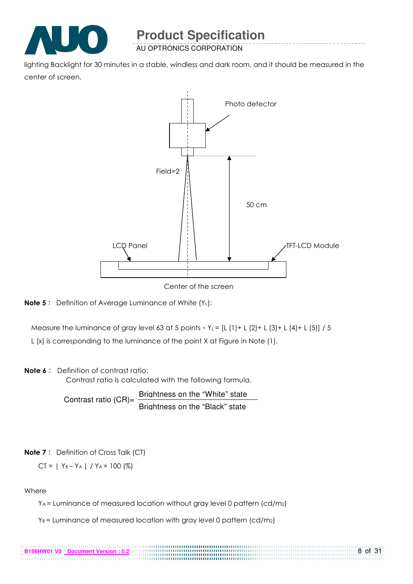

AU OPTRONICS CORPORATION

lighting Backlight for 30 minutes in a stable, windless and dark room, and it should be measured in the center of screen.



Center of the screen



Measure the luminance of gray level 63 at 5 points  $Y_L = [L (1) + L (2) + L (3) + L (4) + L (5)] / 5$ 

L (x) is corresponding to the luminance of the point X at Figure in Note (1).

#### Note 6: Definition of contrast ratio:

Contrast ratio is calculated with the following formula.

Contrast ratio  $(CR)$ = Brightness on the "White" state Brightness on the "Black" state

#### **Note 7**: Definition of Cross Talk (CT)

$$
CT = | Y_B - Y_A | / Y_A \times 100 (%)
$$

**B156HW01 V0 Document Version : 0.2**

#### Where

YA = Luminance of measured location without gray level 0 pattern (cd/m2)

......................

 $Y_B$  = Luminance of measured location with gray level 0 pattern (cd/m<sub>2</sub>)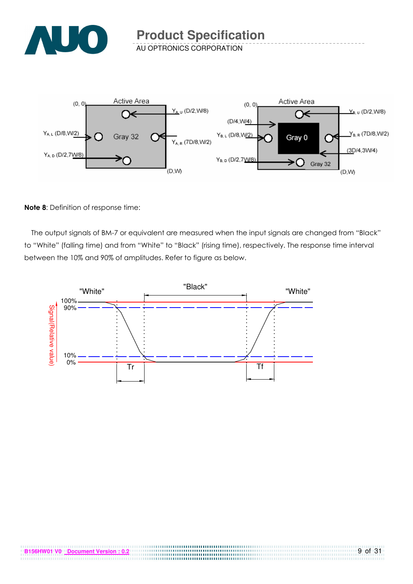

AU OPTRONICS CORPORATION



#### Note 8: Definition of response time:

The output signals of BM-7 or equivalent are measured when the input signals are changed from "Black" to "White" (falling time) and from "White" to "Black" (rising time), respectively. The response time interval between the 10% and 90% of amplitudes. Refer to figure as below.



.....................................

. . . . . . . . . . . . .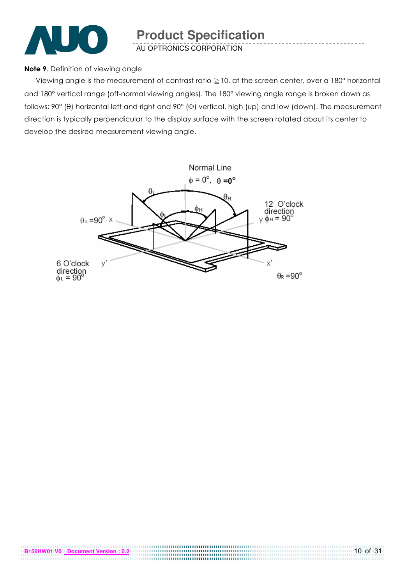

AU OPTRONICS CORPORATION

#### Note 9. Definition of viewing angle

Viewing angle is the measurement of contrast ratio  $\geq$  10, at the screen center, over a 180° horizontal and 180° vertical range (off-normal viewing angles). The 180° viewing angle range is broken down as follows; 90° (θ) horizontal left and right and 90° (Φ) vertical, high (up) and low (down). The measurement direction is typically perpendicular to the display surface with the screen rotated about its center to develop the desired measurement viewing angle.

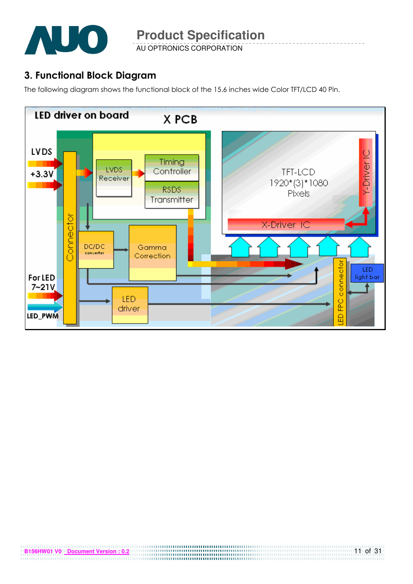

AU OPTRONICS CORPORATION

# 3. Functional Block Diagram

The following diagram shows the functional block of the 15.6 inches wide Color TFT/LCD 40 Pin.

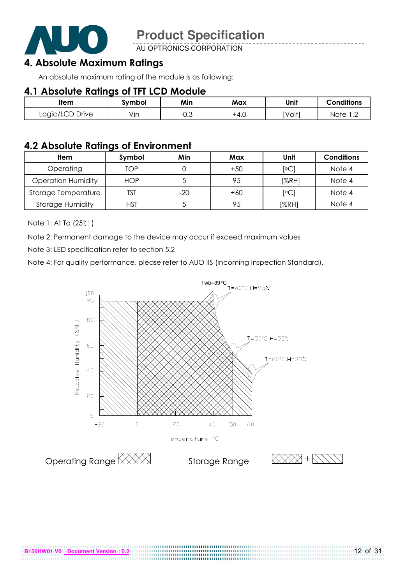

AU OPTRONICS CORPORATION

### 4. Absolute Maximum Ratings

An absolute maximum rating of the module is as following:

### 4.1 Absolute Ratings of TFT LCD Module

| ltem            | svmbol | Min       | Max    | Unit   | <b>Conditions</b>  |
|-----------------|--------|-----------|--------|--------|--------------------|
| Logic/LCD Drive | Vin    | ົ<br>−∪.◡ | $+4.0$ | [Volt] | Note<br>$\sqrt{2}$ |

### 4.2 Absolute Ratings of Environment

| <b>Item</b>               | Symbol     | Min   | Max   | Unit           | <b>Conditions</b> |
|---------------------------|------------|-------|-------|----------------|-------------------|
| Operating                 | TOP        |       | $+50$ | $\overline{C}$ | Note 4            |
| <b>Operation Humidity</b> | <b>HOP</b> |       | 95    | [%RH]          | Note 4            |
| Storage Temperature       | TST        | $-20$ | $+60$ | $\overline{C}$ | Note 4            |
| <b>Storage Humidity</b>   | HST        |       | 95    | [%RH]          | Note 4            |

Note 1: At Ta (25°C)

Note 2: Permanent damage to the device may occur if exceed maximum values

Note 3: LED specification refer to section 5.2

Note 4: For quality performance, please refer to AUO IIS (Incoming Inspection Standard).

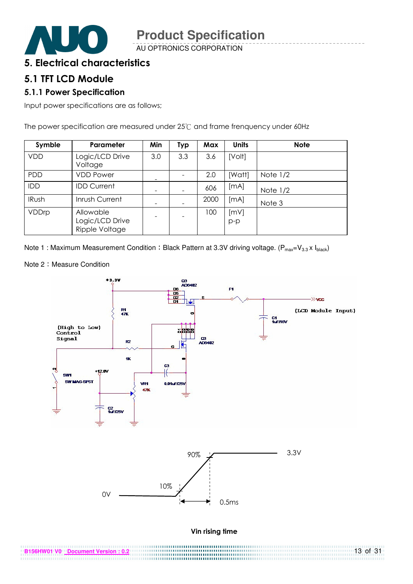

AU OPTRONICS CORPORATION

### 5. Electrical characteristics

#### 5.1 TFT LCD Module

#### 5.1.1 Power Specification

Input power specifications are as follows;

The power specification are measured under 25°C and frame frenquency under 60Hz

| Symble       | Parameter                                      | Min | <b>Typ</b> | Max  | <b>Units</b>  | <b>Note</b> |
|--------------|------------------------------------------------|-----|------------|------|---------------|-------------|
| <b>VDD</b>   | Logic/LCD Drive<br>Voltage                     | 3.0 | 3.3        | 3.6  | [Volt]        |             |
| PDD          | <b>VDD Power</b>                               |     |            | 2.0  | [Watt]        | Note $1/2$  |
| <b>IDD</b>   | <b>IDD Current</b>                             |     |            | 606  | [mA]          | Note $1/2$  |
| <b>IRush</b> | Inrush Current                                 |     |            | 2000 | [MA]          | Note 3      |
| VDDrp        | Allowable<br>Logic/LCD Drive<br>Ripple Voltage |     |            | 100  | [mV]<br>$p-p$ |             |

Note 1 : Maximum Measurement Condition : Black Pattern at 3.3V driving voltage. ( $P_{max}=V_{3.3} \times I_{black}$ )

Note 2: Measure Condition



| B156HW01 V0 Document Version : 0.2 | $13$ of $31$ |
|------------------------------------|--------------|
|                                    |              |
|                                    |              |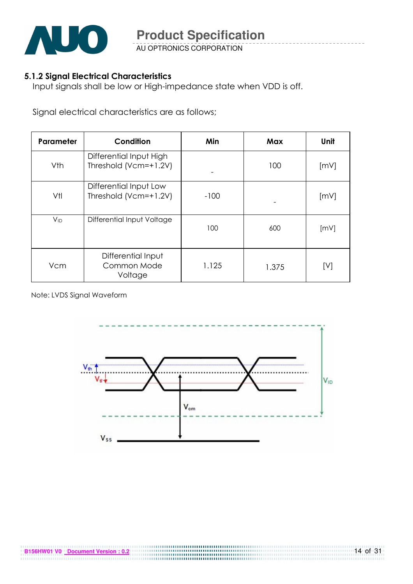

AU OPTRONICS CORPORATION

#### 5.1.2 Signal Electrical Characteristics

Input signals shall be low or High-impedance state when VDD is off.

Signal electrical characteristics are as follows;

| Parameter | Condition                                        | Min    | Max   | Unit |
|-----------|--------------------------------------------------|--------|-------|------|
| Vth       | Differential Input High<br>Threshold (Vcm=+1.2V) |        | 100   | [mV] |
| Vtl       | Differential Input Low<br>Threshold (Vcm=+1.2V)  | $-100$ |       | [mV] |
| $V_{ID}$  | Differential Input Voltage                       | 100    | 600   | [mV] |
| Vcm       | Differential Input<br>Common Mode<br>Voltage     | 1.125  | 1.375 | [V]  |

Note: LVDS Signal Waveform

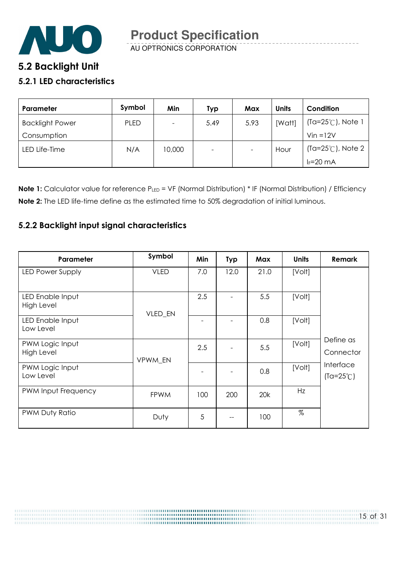

# **5**.2 Backlight Unit

#### 5.2.1 LED characteristics

| Parameter              | Symbol      | Min    | Typ  | Max  | <b>Units</b> | Condition                   |
|------------------------|-------------|--------|------|------|--------------|-----------------------------|
| <b>Backlight Power</b> | <b>PLED</b> |        | 5.49 | 5.93 | [Watt]       | $(Ta=25^{\circ}C)$ , Note 1 |
| Consumption            |             |        |      |      |              | $V$ in = $12V$              |
| LED Life-Time          | N/A         | 10,000 | -    |      | Hour         | $(Ta=25^{\circ}C)$ , Note 2 |
|                        |             |        |      |      |              | $I_F = 20$ mA               |

Note 1: Calculator value for reference PLED = VF (Normal Distribution) \* IF (Normal Distribution) / Efficiency Note 2: The LED life-time define as the estimated time to 50% degradation of initial luminous.

#### 5.2.2 Backlight input signal characteristics

| Parameter                      | Symbol      | Min | <b>Typ</b> | Max  | <b>Units</b> | <b>Remark</b>                   |
|--------------------------------|-------------|-----|------------|------|--------------|---------------------------------|
| LED Power Supply               | <b>VLED</b> | 7.0 | 12.0       | 21.0 | [Volt]       |                                 |
| LED Enable Input<br>High Level | VLED_EN     | 2.5 |            | 5.5  | [Volt]       |                                 |
| LED Enable Input<br>Low Level  |             |     |            | 0.8  | [Volt]       |                                 |
| PWM Logic Input<br>High Level  | VPWM EN     | 2.5 |            | 5.5  | [Volt]       | Define as<br>Connector          |
| PWM Logic Input<br>Low Level   |             |     |            | 0.8  | [Volt]       | Interface<br>$(Ta=25^{\circ}C)$ |
| PWM Input Frequency            | <b>FPWM</b> | 100 | 200        | 20k  | Hz           |                                 |
| PWM Duty Ratio                 | Duty        | 5   |            | 100  | $\%$         |                                 |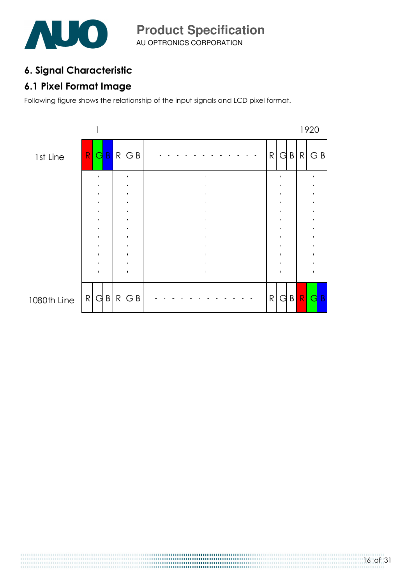

# 6. Signal Characteristic

# 6.1 Pixel Format Image

Following figure shows the relationship of the input signals and LCD pixel format.

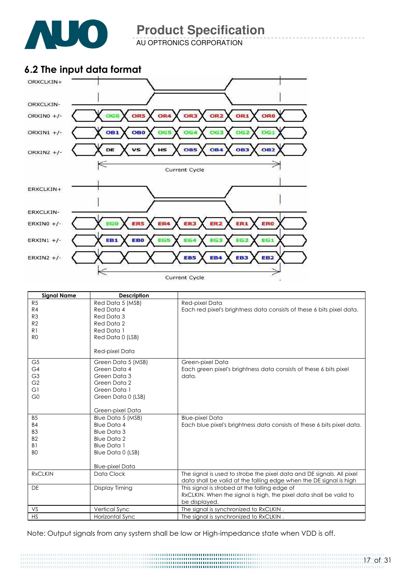

AU OPTRONICS CORPORATION

# 6.2 The input data format



| <b>Signal Name</b> | <b>Description</b>     |                                                                        |
|--------------------|------------------------|------------------------------------------------------------------------|
| R <sub>5</sub>     | Red Data 5 (MSB)       | Red-pixel Data                                                         |
| R4                 | Red Data 4             | Each red pixel's brightness data consists of these 6 bits pixel data.  |
| R3                 | Red Data 3             |                                                                        |
| R <sub>2</sub>     | Red Data 2             |                                                                        |
| R <sub>1</sub>     | Red Data 1             |                                                                        |
| R <sub>0</sub>     | Red Data 0 (LSB)       |                                                                        |
|                    | Red-pixel Data         |                                                                        |
| G <sub>5</sub>     | Green Data 5 (MSB)     | Green-pixel Data                                                       |
| G4                 | Green Data 4           | Each green pixel's brightness data consists of these 6 bits pixel      |
| G <sub>3</sub>     | Green Data 3           | data.                                                                  |
| G <sub>2</sub>     | Green Data 2           |                                                                        |
| G1                 | Green Data 1           |                                                                        |
| G <sub>0</sub>     | Green Data 0 (LSB)     |                                                                        |
|                    |                        |                                                                        |
|                    | Green-pixel Data       |                                                                        |
| <b>B5</b>          | Blue Data 5 (MSB)      | <b>Blue-pixel Data</b>                                                 |
| <b>B4</b>          | <b>Blue Data 4</b>     | Each blue pixel's brightness data consists of these 6 bits pixel data. |
| B <sub>3</sub>     | <b>Blue Data 3</b>     |                                                                        |
| B <sub>2</sub>     | <b>Blue Data 2</b>     |                                                                        |
| B <sub>1</sub>     | <b>Blue Data 1</b>     |                                                                        |
| B <sub>O</sub>     | Blue Data 0 (LSB)      |                                                                        |
|                    |                        |                                                                        |
|                    | <b>Blue-pixel Data</b> |                                                                        |
| <b>RxCLKIN</b>     | Data Clock             | The signal is used to strobe the pixel data and DE signals. All pixel  |
|                    |                        | data shall be valid at the falling edge when the DE signal is high     |
| <b>DE</b>          | Display Timing         | This signal is strobed at the falling edge of                          |
|                    |                        | RxCLKIN. When the signal is high, the pixel data shall be valid to     |
|                    |                        | be displayed.                                                          |
| VS                 | Vertical Sync          | The signal is synchronized to RxCLKIN.                                 |
| <b>HS</b>          | Horizontal Sync        | The signal is synchronized to RxCLKIN.                                 |

Note: Output signals from any system shall be low or High-impedance state when VDD is off.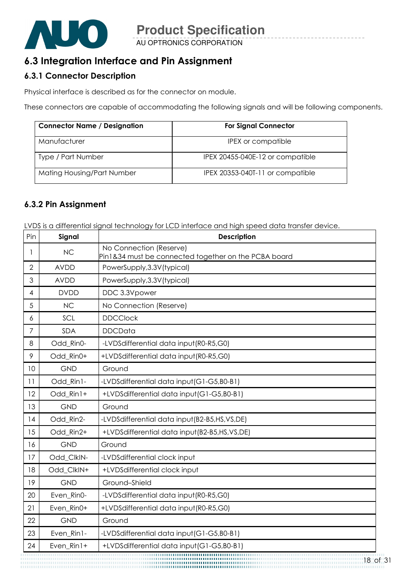

# 6.3 Integration Interface and Pin Assignment

#### 6.3.1 Connector Description

Physical interface is described as for the connector on module.

These connectors are capable of accommodating the following signals and will be following components.

| <b>Connector Name / Designation</b> | <b>For Signal Connector</b>      |
|-------------------------------------|----------------------------------|
| Manufacturer                        | IPEX or compatible               |
| Type / Part Number                  | IPEX 20455-040E-12 or compatible |
| Mating Housing/Part Number          | IPEX 20353-040T-11 or compatible |

#### 6.3.2 Pin Assignment

LVDS is a differential signal technology for LCD interface and high speed data transfer device.

| Pin            | Signal      | <b>Description</b>                                                              |
|----------------|-------------|---------------------------------------------------------------------------------|
| 1              | <b>NC</b>   | No Connection (Reserve)<br>Pin1&34 must be connected together on the PCBA board |
| $\overline{2}$ | <b>AVDD</b> | PowerSupply, 3.3V (typical)                                                     |
| 3              | <b>AVDD</b> | PowerSupply, 3.3V (typical)                                                     |
| 4              | <b>DVDD</b> | DDC 3.3Vpower                                                                   |
| 5              | <b>NC</b>   | No Connection (Reserve)                                                         |
| 6              | SCL         | <b>DDCClock</b>                                                                 |
| 7              | <b>SDA</b>  | <b>DDCData</b>                                                                  |
| 8              | Odd_Rin0-   | -LVDSdifferential data input(R0-R5,G0)                                          |
| 9              | Odd Rin0+   | +LVDSdifferential data input(R0-R5,G0)                                          |
| 10             | <b>GND</b>  | Ground                                                                          |
| 11             | Odd_Rin1-   | -LVDSdifferential data input (G1-G5, B0-B1)                                     |
| 12             | Odd Rin1+   | +LVDSdifferential data input(G1-G5,B0-B1)                                       |
| 13             | <b>GND</b>  | Ground                                                                          |
| 14             | Odd_Rin2-   | -LVDSdifferential data input(B2-B5,HS,VS,DE)                                    |
| 15             | Odd Rin2+   | +LVDSdifferential data input(B2-B5,HS,VS,DE)                                    |
| 16             | <b>GND</b>  | Ground                                                                          |
| 17             | Odd_ClkIN-  | -LVDSdifferential clock input                                                   |
| 18             | Odd_ClkIN+  | +LVDSdifferential clock input                                                   |
| 19             | <b>GND</b>  | Ground-Shield                                                                   |
| 20             | Even_Rin0-  | -LVDSdifferential data input(R0-R5,G0)                                          |
| 21             | Even_Rin0+  | +LVDSdifferential data input(R0-R5,G0)                                          |
| 22             | <b>GND</b>  | Ground                                                                          |
| 23             | Even_Rin1-  | -LVDSdifferential data input (G1-G5,B0-B1)                                      |
| 24             | Even_Rin1+  | +LVDSdifferential data input(G1-G5,B0-B1)                                       |
|                |             | 18 c                                                                            |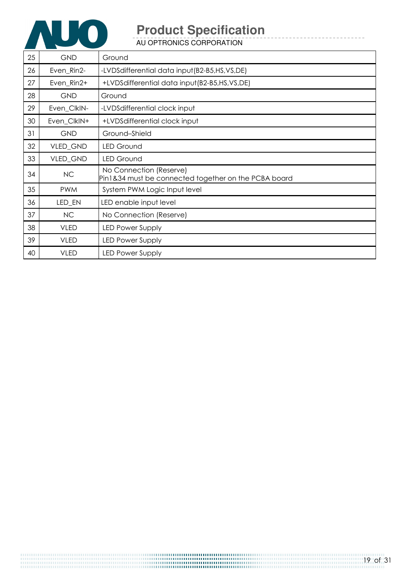

AU OPTRONICS CORPORATION

| 25 | <b>GND</b>  | Ground                                                                          |
|----|-------------|---------------------------------------------------------------------------------|
| 26 | Even_Rin2-  | -LVDSdifferential data input(B2-B5,HS,VS,DE)                                    |
| 27 | Even_Rin2+  | +LVDSdifferential data input(B2-B5,HS,VS,DE)                                    |
| 28 | <b>GND</b>  | Ground                                                                          |
| 29 | Even_ClkIN- | -LVDSdifferential clock input                                                   |
| 30 | Even_ClkIN+ | +LVDSdifferential clock input                                                   |
| 31 | <b>GND</b>  | Ground-Shield                                                                   |
| 32 | VLED_GND    | <b>LED Ground</b>                                                               |
| 33 | VLED_GND    | <b>LED Ground</b>                                                               |
| 34 | NC          | No Connection (Reserve)<br>Pin1&34 must be connected together on the PCBA board |
| 35 | <b>PWM</b>  | System PWM Logic Input level                                                    |
| 36 | LED_EN      | LED enable input level                                                          |
| 37 | NC          | No Connection (Reserve)                                                         |
| 38 | <b>VLED</b> | <b>LED Power Supply</b>                                                         |
| 39 | <b>VLED</b> | <b>LED Power Supply</b>                                                         |
| 40 | <b>VLED</b> | <b>LED Power Supply</b>                                                         |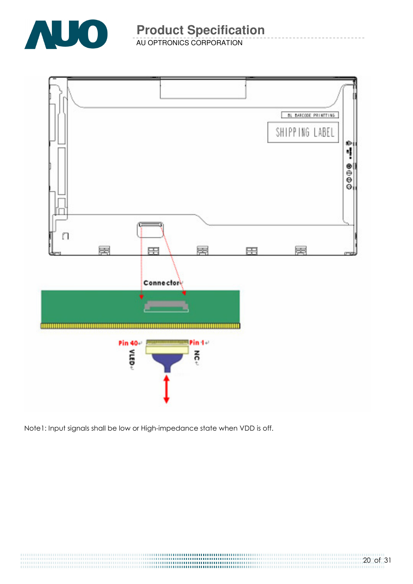

AU OPTRONICS CORPORATION



Note1: Input signals shall be low or High-impedance state when VDD is off.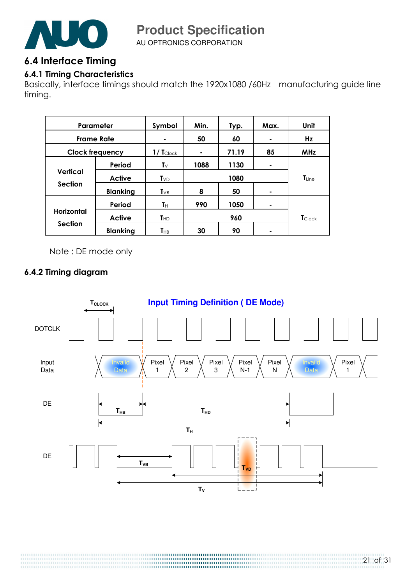

AU OPTRONICS CORPORATION

### 6.4 Interface Timing

### 6.4.1 Timing Characteristics

Basically, interface timings should match the 1920x1080 /60Hz manufacturing guide line timing.

| Parameter              |                 | Symbol                 | Min. | Typ.  | Max. | Unit              |
|------------------------|-----------------|------------------------|------|-------|------|-------------------|
| <b>Frame Rate</b>      |                 |                        | 50   | 60    | ۰    | Hz                |
| <b>Clock frequency</b> |                 | $1/$ Tclock            | ٠    | 71.19 | 85   | <b>MHz</b>        |
|                        | Period          | $T_{\vee}$             | 1088 | 1130  | ٠    |                   |
| <b>Vertical</b>        | <b>Active</b>   | $T_{VD}$               | 1080 |       |      | $\mathsf{T}$ Line |
| <b>Section</b>         | <b>Blanking</b> | $T_{VB}$               | 8    | 50    | ۰    |                   |
|                        | Period          | Tн                     | 990  | 1050  | ۰    |                   |
| <b>Horizontal</b>      | <b>Active</b>   | $T_{HD}$               | 960  |       |      | <b>T</b> Clock    |
| <b>Section</b>         | <b>Blanking</b> | <b>T</b> <sub>HB</sub> | 30   | 90    |      |                   |

Note : DE mode only

### 6.4.2 Timing diagram

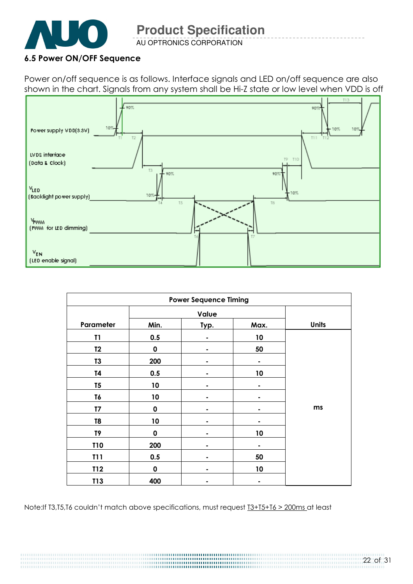

AU OPTRONICS CORPORATION

#### 6.5 Power ON/OFF Sequence

Power on/off sequence is as follows. Interface signals and LED on/off sequence are also shown in the chart. Signals from any system shall be Hi-Z state or low level when VDD is off



| <b>Power Sequence Timing</b> |             |       |      |              |  |
|------------------------------|-------------|-------|------|--------------|--|
|                              |             | Value |      |              |  |
| Parameter                    | Min.        | Typ.  | Max. | <b>Units</b> |  |
| T1                           | 0.5         |       | 10   |              |  |
| T <sub>2</sub>               | $\mathbf 0$ |       | 50   |              |  |
| T <sub>3</sub>               | 200         |       |      |              |  |
| T4                           | 0.5         |       | 10   |              |  |
| T <sub>5</sub>               | 10          |       |      |              |  |
| T6                           | 10          |       |      |              |  |
| T <sub>7</sub>               | $\mathbf 0$ |       |      | ms           |  |
| T <sub>8</sub>               | 10          |       |      |              |  |
| T9                           | 0           |       | 10   |              |  |
| <b>T10</b>                   | 200         |       |      |              |  |
| <b>T11</b>                   | 0.5         |       | 50   |              |  |
| T12                          | $\mathbf 0$ | ۰     | 10   |              |  |
| T13                          | 400         |       |      |              |  |

Note:If T3,T5,T6 couldn't match above specifications, must request T3+T5+T6 > 200ms at least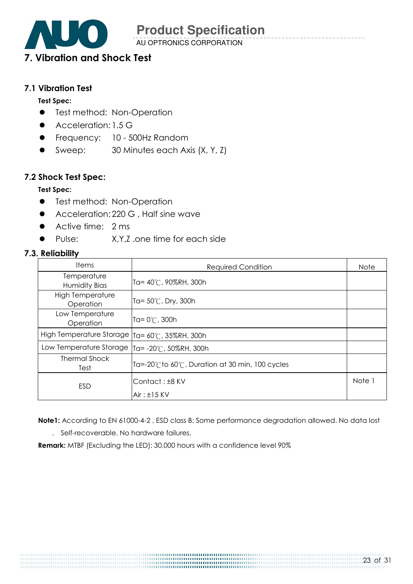AU OPTRONICS CORPORATION

# 7. Vibration and Shock Test

#### 7.1 Vibration Test

#### Test Spec:

- **•** Test method: Non-Operation
- Acceleration: 1.5 G
- **•** Frequency: 10 500Hz Random
- Sweep: 30 Minutes each Axis (X, Y, Z)

#### 7.2 Shock Test Spec:

#### Test Spec:

- **•** Test method: Non-Operation
- Acceleration: 220 G, Half sine wave
- Active time: 2 ms
- Pulse: X,Y,Z .one time for each side

#### 7.3. Reliability

| <b>Items</b><br><b>Required Condition</b> |                                               |        |
|-------------------------------------------|-----------------------------------------------|--------|
| Temperature<br>Humidity Bias              | Ta= 40°C, 90%RH, 300h                         |        |
| High Temperature<br>Operation             | Ta= 50℃, Dry, 300h                            |        |
| Low Temperature<br>Operation              | Ta= $0^{\circ}$ C, 300h                       |        |
| High Temperature Storage                  | Ta= 60°C, 35%RH, 300h                         |        |
| Low Temperature Storage                   | Ta= -20℃, 50%RH, 300h                         |        |
| <b>Thermal Shock</b><br>Test              | Ta=-20℃to 60℃, Duration at 30 min, 100 cycles |        |
| <b>ESD</b>                                | Contact: ±8 KV<br>$Air: \pm 15$ KV            | Note 1 |

Note1: According to EN 61000-4-2 , ESD class B: Some performance degradation allowed. No data lost

. Self-recoverable. No hardware failures.

Remark: MTBF (Excluding the LED): 30,000 hours with a confidence level 90%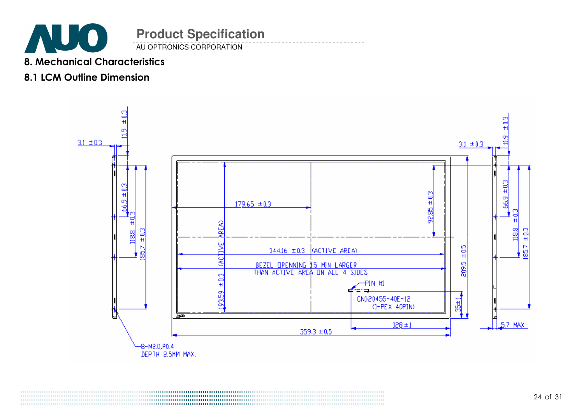

AU OPTRONICS CORPORATION

### 8. Mechanical Characteristics

## 8.1 LCM Outline Dimension

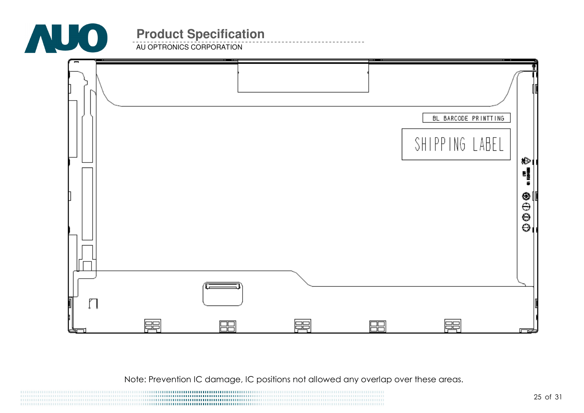

**AU OPTRONICS CORPORATION** 



Note: Prevention IC damage, IC positions not allowed any overlap over these areas.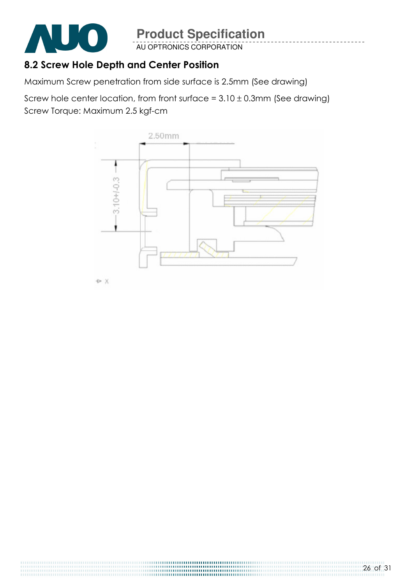

AU OPTRONICS CORPORATION

# 8.2 Screw Hole Depth and Center Position

Maximum Screw penetration from side surface is 2.5mm (See drawing)

Screw hole center location, from front surface =  $3.10 \pm 0.3$ mm (See drawing) Screw Torque: Maximum 2.5 kgf-cm

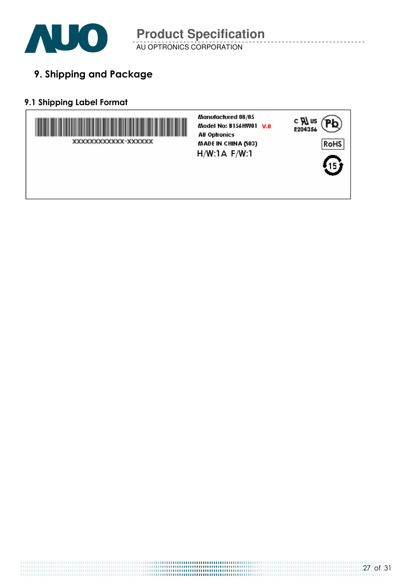

AU OPTRONICS CORPORATION

9. Shipping and Package

### 9.1 Shipping Label Format

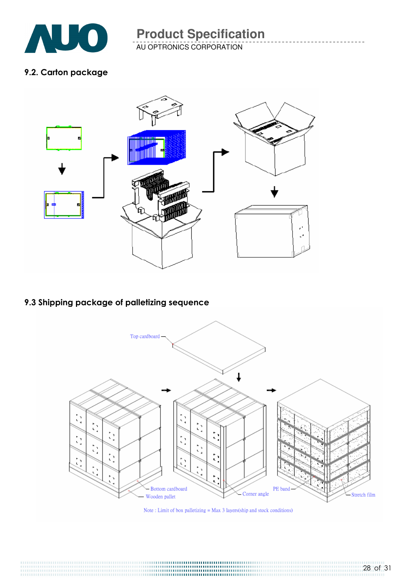

AU OPTRONICS CORPORATION

#### 9.2. Carton package



### 9.3 Shipping package of palletizing sequence



Note: Limit of box palletizing  $=$  Max 3 layers(ship and stock conditions)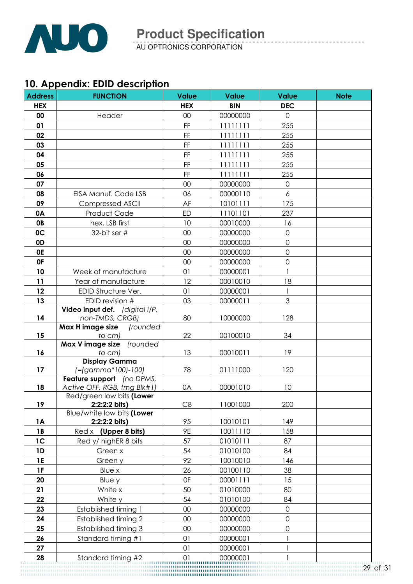

AU OPTRONICS CORPORATION

# 10. Appendix: EDID description

| <b>Address</b> | <b>FUNCTION</b>                             | <b>Value</b> | <b>Value</b> | <b>Value</b>        | <b>Note</b> |
|----------------|---------------------------------------------|--------------|--------------|---------------------|-------------|
| <b>HEX</b>     |                                             | <b>HEX</b>   | <b>BIN</b>   | <b>DEC</b>          |             |
| 00             | Header                                      | 00           | 00000000     | $\mathbf 0$         |             |
| 01             |                                             | FF           | 11111111     | 255                 |             |
| 02             |                                             | FF           | 11111111     | 255                 |             |
| 03             |                                             | FF           | 11111111     | 255                 |             |
| 04             |                                             | FF           | 11111111     | 255                 |             |
| 05             |                                             | FF           | 11111111     | 255                 |             |
| 06             |                                             | FF           | 11111111     | 255                 |             |
| 07             |                                             | 00           | 00000000     | $\mathbf 0$         |             |
| 08             | EISA Manuf. Code LSB                        | 06           | 00000110     | 6                   |             |
| 09             | <b>Compressed ASCII</b>                     | AF           | 10101111     | 175                 |             |
| 0A             | Product Code                                | <b>ED</b>    | 11101101     | 237                 |             |
| <b>OB</b>      | hex, LSB first                              | 10           | 00010000     | 16                  |             |
| 0C             | 32-bit ser #                                | 00           | 00000000     | $\overline{0}$      |             |
| 0D             |                                             | 00           | 00000000     | $\overline{0}$      |             |
| <b>OE</b>      |                                             | 00           | 00000000     | $\mathbf 0$         |             |
| <b>OF</b>      |                                             | 00           | 00000000     | $\overline{0}$      |             |
| 10             | Week of manufacture                         | 01           | 00000001     |                     |             |
| 11             | Year of manufacture                         | 12           | 00010010     | 18                  |             |
| 12             | EDID Structure Ver.                         | 01           | 00000001     | 1                   |             |
| 13             | EDID revision #                             | 03           | 00000011     | 3                   |             |
|                | Video input def. (digital I/P,              |              |              |                     |             |
| 14             | non-TMDS, CRGB)                             | 80           | 10000000     | 128                 |             |
|                | Max H image size<br>(rounded                |              |              |                     |             |
| 15             | to cm)<br>Max V image size                  | 22           | 00100010     | 34                  |             |
| 16             | (rounded<br>to cm)                          | 13           | 00010011     | 19                  |             |
|                | <b>Display Gamma</b>                        |              |              |                     |             |
| 17             | (=(gamma*100)-100)                          | 78           | 01111000     | 120                 |             |
|                | Feature support (no DPMS,                   |              |              |                     |             |
| 18             | Active OFF, RGB, tmg Blk#1)                 | 0A           | 00001010     | 10                  |             |
|                | Red/green low bits (Lower                   |              |              |                     |             |
| 19             | 2:2:2:2 bits)<br>Blue/white low bits (Lower | C8           | 11001000     | 200                 |             |
| <b>1A</b>      | 2:2:2:2 bits)                               | 95           | 10010101     | 149                 |             |
| <b>1B</b>      | Red x (Upper 8 bits)                        | 9E           | 10011110     | 158                 |             |
| 1 <sup>C</sup> | Red y/ highER 8 bits                        | 57           | 01010111     | 87                  |             |
| 1D             | Green x                                     | 54           | 01010100     | 84                  |             |
| <b>1E</b>      | Green y                                     | 92           | 10010010     | 146                 |             |
| 1F             | Blue x                                      | 26           | 00100110     | 38                  |             |
| 20             | Blue y                                      | 0F           | 00001111     | 15                  |             |
| 21             | White x                                     | 50           | 01010000     | 80                  |             |
| 22             | White y                                     | 54           | 01010100     | 84                  |             |
| 23             | Established timing 1                        | 00           | 00000000     | $\mathsf{O}\xspace$ |             |
| 24             | <b>Established timing 2</b>                 | 00           | 00000000     | $\mathsf{O}$        |             |
| 25             | <b>Established timing 3</b>                 | 00           | 00000000     | 0                   |             |
| 26             | Standard timing #1                          | 01           | 00000001     |                     |             |
| 27             |                                             | 01           | 00000001     |                     |             |
| 28             | Standard timing #2                          | 01           | 00000001     |                     |             |
|                |                                             |              |              |                     | 29          |
|                |                                             |              |              |                     |             |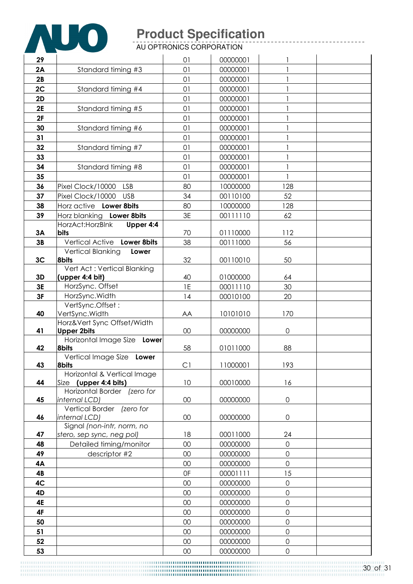

AU OPTRONICS CORPORATION

| 29             |                                                | 01     | 00000001 |                     |  |
|----------------|------------------------------------------------|--------|----------|---------------------|--|
| 2A             | Standard timing #3                             | 01     | 00000001 |                     |  |
| 2B             |                                                | 01     | 00000001 |                     |  |
| 2C             | Standard timing #4                             | 01     | 00000001 |                     |  |
| 2D             |                                                | 01     | 00000001 |                     |  |
| 2E             | Standard timing #5                             | 01     | 00000001 |                     |  |
| 2F             |                                                | 01     | 00000001 |                     |  |
| 30             | Standard timing #6                             | 01     | 00000001 |                     |  |
| 31             |                                                | 01     | 00000001 | $\mathbf{1}$        |  |
| 32             | Standard timing #7                             | 01     | 00000001 |                     |  |
| 33             |                                                | 01     | 00000001 |                     |  |
| 34             | Standard timing #8                             | 01     | 00000001 | 1                   |  |
| 35             |                                                | 01     | 00000001 |                     |  |
| 36             | Pixel Clock/10000<br><b>LSB</b>                | 80     | 10000000 | 128                 |  |
| 37             | Pixel Clock/10000<br><b>USB</b>                | 34     | 00110100 | 52                  |  |
| 38             | Horz active Lower 8bits                        | 80     | 10000000 | 128                 |  |
| 39             | Horz blanking Lower 8bits                      | 3E     | 00111110 | 62                  |  |
|                | HorzAct: HorzBlnk<br>Upper 4:4                 |        |          |                     |  |
| 3A             | bits                                           | 70     | 01110000 | 112                 |  |
| 3B             | Vertical Active Lower 8bits                    | 38     | 00111000 | 56                  |  |
|                | <b>Vertical Blanking</b><br>Lower              |        |          |                     |  |
| 3 <sub>C</sub> | <b>8bits</b>                                   | 32     | 00110010 | 50                  |  |
| 3D             | Vert Act: Vertical Blanking<br>(upper 4:4 bit) | 40     | 01000000 | 64                  |  |
| 3E             | HorzSync. Offset                               | 1E     | 00011110 | 30                  |  |
| 3F             | HorzSync.Width                                 | 14     | 00010100 | 20                  |  |
|                | VertSync.Offset:                               |        |          |                     |  |
| 40             | VertSync.Width                                 | AA     | 10101010 | 170                 |  |
|                | Horz‖ Sync Offset/Width                        |        |          |                     |  |
| 41             | <b>Upper 2bits</b>                             | $00\,$ | 00000000 | $\mathsf{O}\xspace$ |  |
|                | Horizontal Image Size Lower                    |        |          |                     |  |
| 42             | <b>8bits</b><br>Vertical Image Size Lower      | 58     | 01011000 | 88                  |  |
| 43             | <b>8bits</b>                                   | C1     | 11000001 | 193                 |  |
|                | Horizontal & Vertical Image                    |        |          |                     |  |
| 44             | Size (upper 4:4 bits)                          | 10     | 00010000 | 16                  |  |
|                | Horizontal Border (zero for                    |        |          |                     |  |
| 45             | internal LCD)                                  | 00     | 00000000 | $\mathsf{O}\xspace$ |  |
|                | Vertical Border (zero for                      |        |          |                     |  |
| 46             | internal LCD)<br>Signal (non-intr, norm, no    | 00     | 00000000 | $\mathbf 0$         |  |
| 47             | stero, sep sync, neg pol)                      | 18     | 00011000 | 24                  |  |
| 48             | Detailed timing/monitor                        | 00     | 00000000 | $\overline{0}$      |  |
| 49             | descriptor #2                                  | 00     | 00000000 | $\mathbf 0$         |  |
| 4A             |                                                | 00     | 00000000 | $\mathbf 0$         |  |
| 4B             |                                                | 0F     | 00001111 | 15                  |  |
| 4C             |                                                | 00     | 00000000 | $\mathbf 0$         |  |
| 4D             |                                                | 00     | 00000000 | $\mathsf{O}$        |  |
| 4E             |                                                | 00     | 00000000 | $\mathbf 0$         |  |
| 4F             |                                                | 00     | 00000000 | $\overline{0}$      |  |
| 50             |                                                | 00     | 00000000 | $\mathsf{O}$        |  |
| 51             |                                                | 00     | 00000000 | $\mathsf{O}$        |  |
| 52             |                                                | 00     | 00000000 | $\mathbf 0$         |  |
| 53             |                                                | $00\,$ | 00000000 | $\mathsf{O}\xspace$ |  |
|                |                                                |        |          |                     |  |